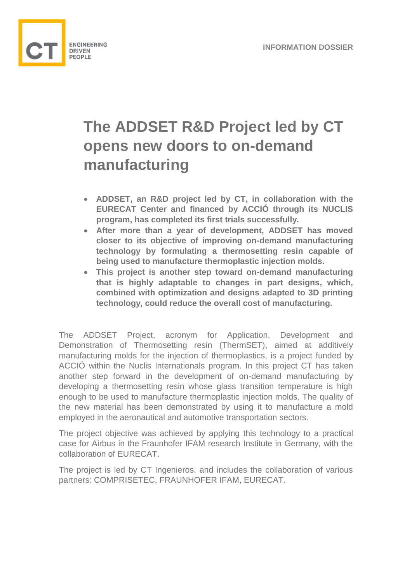

## **The ADDSET R&D Project led by CT opens new doors to on-demand manufacturing**

- **ADDSET, an R&D project led by CT, in collaboration with the EURECAT Center and financed by ACCIÓ through its NUCLIS program, has completed its first trials successfully.**
- **After more than a year of development, ADDSET has moved closer to its objective of improving on-demand manufacturing technology by formulating a thermosetting resin capable of being used to manufacture thermoplastic injection molds.**
- **This project is another step toward on-demand manufacturing that is highly adaptable to changes in part designs, which, combined with optimization and designs adapted to 3D printing technology, could reduce the overall cost of manufacturing.**

The ADDSET Project, acronym for Application, Development and Demonstration of Thermosetting resin (ThermSET), aimed at additively manufacturing molds for the injection of thermoplastics, is a project funded by ACCIÓ within the Nuclis Internationals program. In this project CT has taken another step forward in the development of on-demand manufacturing by developing a thermosetting resin whose glass transition temperature is high enough to be used to manufacture thermoplastic injection molds. The quality of the new material has been demonstrated by using it to manufacture a mold employed in the aeronautical and automotive transportation sectors.

The project objective was achieved by applying this technology to a practical case for Airbus in the Fraunhofer IFAM research Institute in Germany, with the collaboration of EURECAT.

The project is led by CT Ingenieros, and includes the collaboration of various partners: COMPRISETEC, FRAUNHOFER IFAM, EURECAT.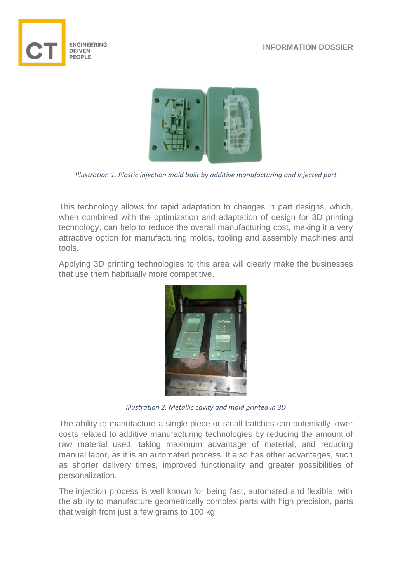





*Illustration 1. Plastic injection mold built by additive manufacturing and injected part* 

This technology allows for rapid adaptation to changes in part designs, which, when combined with the optimization and adaptation of design for 3D printing technology, can help to reduce the overall manufacturing cost, making it a very attractive option for manufacturing molds, tooling and assembly machines and tools.

Applying 3D printing technologies to this area will clearly make the businesses that use them habitually more competitive.



*Illustration 2. Metallic cavity and mold printed in 3D*

The ability to manufacture a single piece or small batches can potentially lower costs related to additive manufacturing technologies by reducing the amount of raw material used, taking maximum advantage of material, and reducing manual labor, as it is an automated process. It also has other advantages, such as shorter delivery times, improved functionality and greater possibilities of personalization.

The injection process is well known for being fast, automated and flexible, with the ability to manufacture geometrically complex parts with high precision, parts that weigh from just a few grams to 100 kg.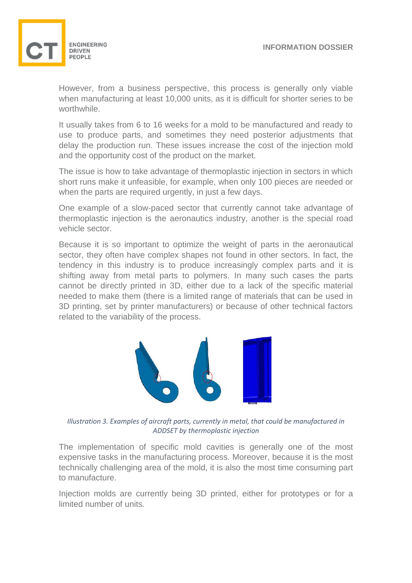

However, from a business perspective, this process is generally only viable when manufacturing at least 10,000 units, as it is difficult for shorter series to be worthwhile.

It usually takes from 6 to 16 weeks for a mold to be manufactured and ready to use to produce parts, and sometimes they need posterior adjustments that delay the production run. These issues increase the cost of the injection mold and the opportunity cost of the product on the market.

The issue is how to take advantage of thermoplastic injection in sectors in which short runs make it unfeasible, for example, when only 100 pieces are needed or when the parts are required urgently, in just a few days.

One example of a slow-paced sector that currently cannot take advantage of thermoplastic injection is the aeronautics industry, another is the special road vehicle sector.

Because it is so important to optimize the weight of parts in the aeronautical sector, they often have complex shapes not found in other sectors. In fact, the tendency in this industry is to produce increasingly complex parts and it is shifting away from metal parts to polymers. In many such cases the parts cannot be directly printed in 3D, either due to a lack of the specific material needed to make them (there is a limited range of materials that can be used in 3D printing, set by printer manufacturers) or because of other technical factors related to the variability of the process.



*Illustration 3. Examples of aircraft parts, currently in metal, that could be manufactured in ADDSET by thermoplastic injection* 

The implementation of specific mold cavities is generally one of the most expensive tasks in the manufacturing process. Moreover, because it is the most technically challenging area of the mold, it is also the most time consuming part to manufacture.

Injection molds are currently being 3D printed, either for prototypes or for a limited number of units.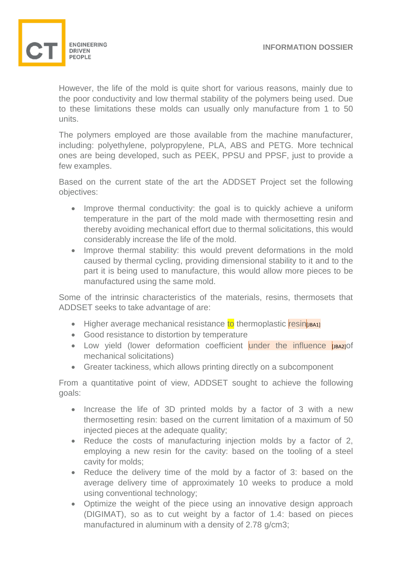

However, the life of the mold is quite short for various reasons, mainly due to the poor conductivity and low thermal stability of the polymers being used. Due to these limitations these molds can usually only manufacture from 1 to 50 units.

The polymers employed are those available from the machine manufacturer, including: polyethylene, polypropylene, PLA, ABS and PETG. More technical ones are being developed, such as PEEK, PPSU and PPSF, just to provide a few examples.

Based on the current state of the art the ADDSET Project set the following objectives:

- Improve thermal conductivity: the goal is to quickly achieve a uniform temperature in the part of the mold made with thermosetting resin and thereby avoiding mechanical effort due to thermal solicitations, this would considerably increase the life of the mold.
- Improve thermal stability: this would prevent deformations in the mold caused by thermal cycling, providing dimensional stability to it and to the part it is being used to manufacture, this would allow more pieces to be manufactured using the same mold.

Some of the intrinsic characteristics of the materials, resins, thermosets that ADDSET seeks to take advantage of are:

- Higher average mechanical resistance to thermoplastic resinfue and
- Good resistance to distortion by temperature
- Low yield (lower deformation coefficient under the influence **[JBA2]** of mechanical solicitations)
- Greater tackiness, which allows printing directly on a subcomponent

From a quantitative point of view, ADDSET sought to achieve the following goals:

- Increase the life of 3D printed molds by a factor of 3 with a new thermosetting resin: based on the current limitation of a maximum of 50 injected pieces at the adequate quality;
- Reduce the costs of manufacturing injection molds by a factor of 2, employing a new resin for the cavity: based on the tooling of a steel cavity for molds;
- Reduce the delivery time of the mold by a factor of 3: based on the average delivery time of approximately 10 weeks to produce a mold using conventional technology;
- Optimize the weight of the piece using an innovative design approach (DIGIMAT), so as to cut weight by a factor of 1.4: based on pieces manufactured in aluminum with a density of 2.78 g/cm3;